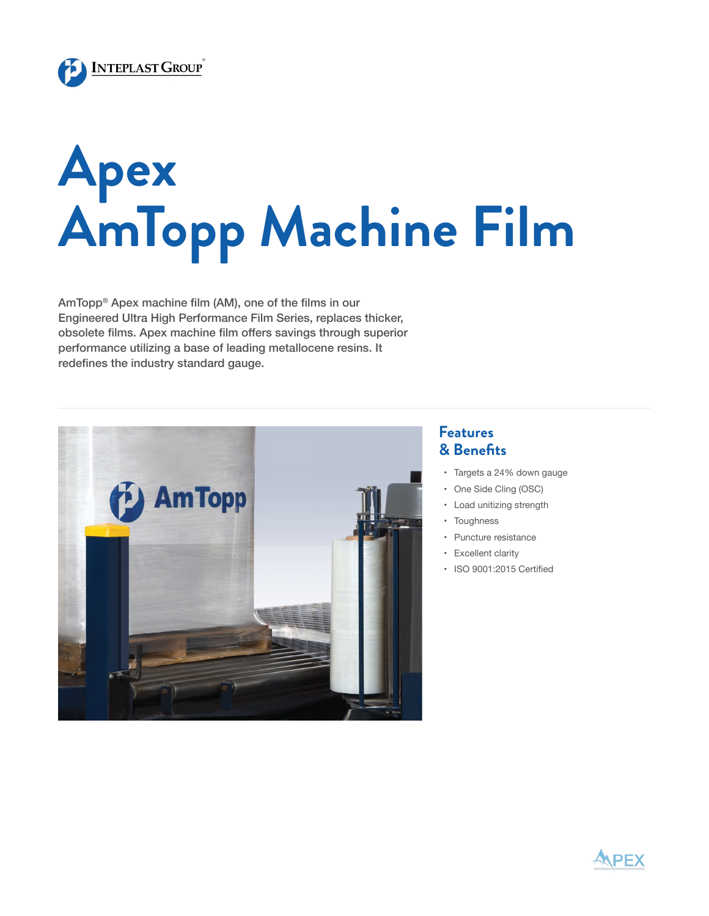

## **Apex AmTopp Machine Film**

AmTopp® Apex machine film (AM), one of the films in our Engineered Ultra High Performance Film Series, replaces thicker, obsolete films. Apex machine film offers savings through superior performance utilizing a base of leading metallocene resins. It redefines the industry standard gauge.



## **Features & Benefits**

- • Targets a 24% down gauge
- • One Side Cling (OSC)
- • Load unitizing strength
- • Toughness
- • Puncture resistance
- • Excellent clarity
- • ISO 9001:2015 Certified